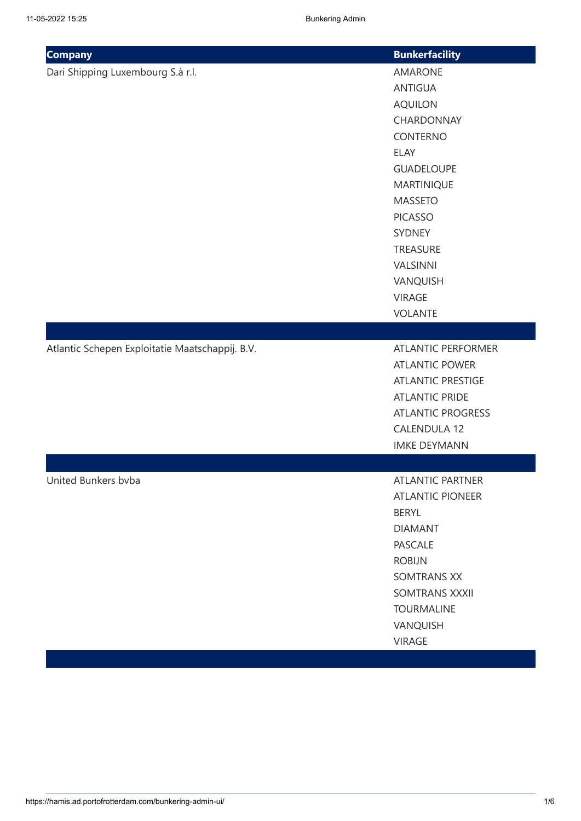| <b>Company</b>                                  | <b>Bunkerfacility</b>     |
|-------------------------------------------------|---------------------------|
| Dari Shipping Luxembourg S.à r.l.               | <b>AMARONE</b>            |
|                                                 | <b>ANTIGUA</b>            |
|                                                 | <b>AQUILON</b>            |
|                                                 | CHARDONNAY                |
|                                                 | <b>CONTERNO</b>           |
|                                                 | <b>ELAY</b>               |
|                                                 | <b>GUADELOUPE</b>         |
|                                                 | <b>MARTINIQUE</b>         |
|                                                 | <b>MASSETO</b>            |
|                                                 | <b>PICASSO</b>            |
|                                                 | <b>SYDNEY</b>             |
|                                                 | TREASURE                  |
|                                                 | <b>VALSINNI</b>           |
|                                                 | VANQUISH                  |
|                                                 | <b>VIRAGE</b>             |
|                                                 | <b>VOLANTE</b>            |
|                                                 |                           |
| Atlantic Schepen Exploitatie Maatschappij. B.V. | <b>ATLANTIC PERFORMER</b> |
|                                                 | <b>ATLANTIC POWER</b>     |
|                                                 | <b>ATLANTIC PRESTIGE</b>  |
|                                                 | <b>ATLANTIC PRIDE</b>     |
|                                                 | <b>ATLANTIC PROGRESS</b>  |
|                                                 | <b>CALENDULA 12</b>       |
|                                                 | <b>IMKE DEYMANN</b>       |
|                                                 |                           |
| United Bunkers bvba                             | <b>ATLANTIC PARTNER</b>   |
|                                                 | <b>ATLANTIC PIONEER</b>   |
|                                                 | <b>BERYL</b>              |
|                                                 | <b>DIAMANT</b>            |
|                                                 | <b>PASCALE</b>            |
|                                                 | <b>ROBIJN</b>             |
|                                                 | <b>SOMTRANS XX</b>        |
|                                                 | SOMTRANS XXXII            |
|                                                 | <b>TOURMALINE</b>         |
|                                                 | VANQUISH                  |
|                                                 | <b>VIRAGE</b>             |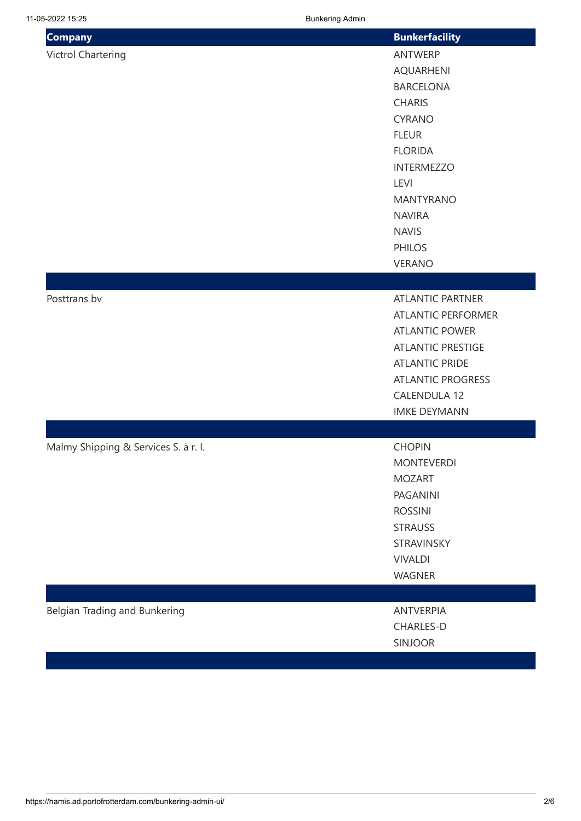| <b>Company</b>                       | <b>Bunkerfacility</b>     |
|--------------------------------------|---------------------------|
| <b>Victrol Chartering</b>            | ANTWERP                   |
|                                      | <b>AQUARHENI</b>          |
|                                      | <b>BARCELONA</b>          |
|                                      | <b>CHARIS</b>             |
|                                      | <b>CYRANO</b>             |
|                                      | <b>FLEUR</b>              |
|                                      | <b>FLORIDA</b>            |
|                                      | <b>INTERMEZZO</b>         |
|                                      | LEVI                      |
|                                      | <b>MANTYRANO</b>          |
|                                      | <b>NAVIRA</b>             |
|                                      | <b>NAVIS</b>              |
|                                      | <b>PHILOS</b>             |
|                                      | <b>VERANO</b>             |
|                                      |                           |
| Posttrans bv                         | <b>ATLANTIC PARTNER</b>   |
|                                      | <b>ATLANTIC PERFORMER</b> |
|                                      | <b>ATLANTIC POWER</b>     |
|                                      | <b>ATLANTIC PRESTIGE</b>  |
|                                      | <b>ATLANTIC PRIDE</b>     |
|                                      | <b>ATLANTIC PROGRESS</b>  |
|                                      | <b>CALENDULA 12</b>       |
|                                      | <b>IMKE DEYMANN</b>       |
|                                      |                           |
| Malmy Shipping & Services S. à r. l. | <b>CHOPIN</b>             |
|                                      | <b>MONTEVERDI</b>         |
|                                      | <b>MOZART</b>             |
|                                      | <b>PAGANINI</b>           |
|                                      | <b>ROSSINI</b>            |
|                                      | <b>STRAUSS</b>            |
|                                      | STRAVINSKY                |
|                                      | <b>VIVALDI</b>            |
|                                      | WAGNER                    |
|                                      |                           |
| Belgian Trading and Bunkering        | <b>ANTVERPIA</b>          |
|                                      | CHARLES-D                 |
|                                      | <b>SINJOOR</b>            |
|                                      |                           |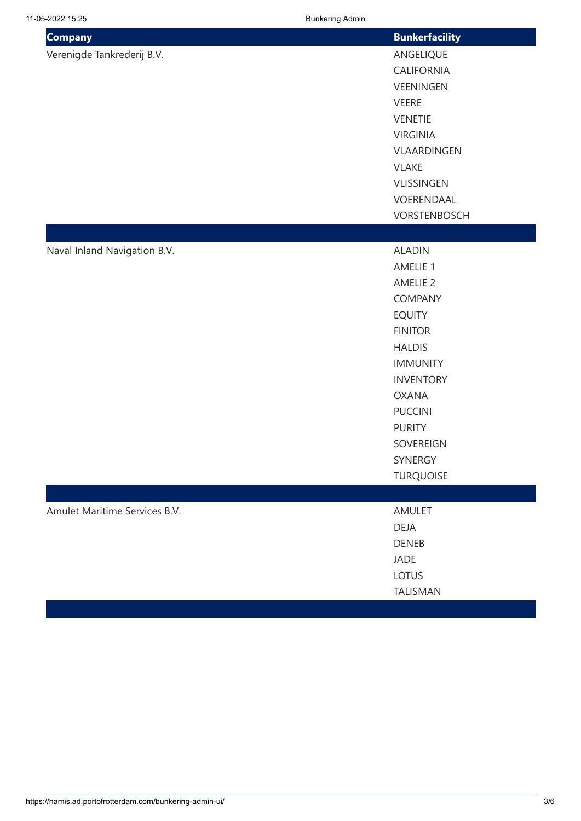| <b>Company</b>                | <b>Bunkerfacility</b> |
|-------------------------------|-----------------------|
| Verenigde Tankrederij B.V.    | ANGELIQUE             |
|                               | CALIFORNIA            |
|                               | VEENINGEN             |
|                               | <b>VEERE</b>          |
|                               | <b>VENETIE</b>        |
|                               | <b>VIRGINIA</b>       |
|                               | VLAARDINGEN           |
|                               | <b>VLAKE</b>          |
|                               | VLISSINGEN            |
|                               | VOERENDAAL            |
|                               | VORSTENBOSCH          |
|                               |                       |
| Naval Inland Navigation B.V.  | <b>ALADIN</b>         |
|                               | AMELIE 1              |
|                               | <b>AMELIE 2</b>       |
|                               | COMPANY               |
|                               | <b>EQUITY</b>         |
|                               | <b>FINITOR</b>        |
|                               | <b>HALDIS</b>         |
|                               | <b>IMMUNITY</b>       |
|                               | <b>INVENTORY</b>      |
|                               | <b>OXANA</b>          |
|                               | <b>PUCCINI</b>        |
|                               | <b>PURITY</b>         |
|                               | SOVEREIGN<br>SYNERGY  |
|                               | <b>TURQUOISE</b>      |
|                               |                       |
|                               | <b>AMULET</b>         |
| Amulet Maritime Services B.V. | <b>DEJA</b>           |
|                               | <b>DENEB</b>          |
|                               | <b>JADE</b>           |
|                               | <b>LOTUS</b>          |
|                               | TALISMAN              |
|                               |                       |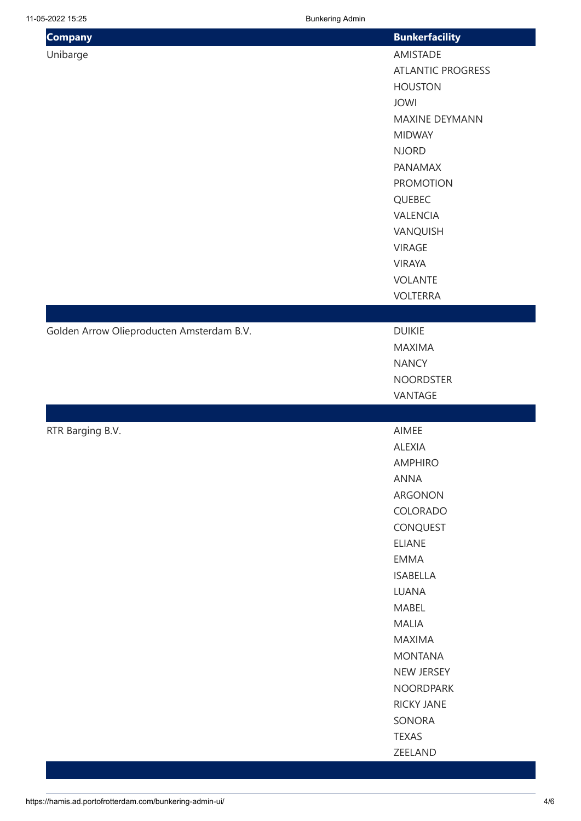| <b>Company</b>                            | <b>Bunkerfacility</b>    |
|-------------------------------------------|--------------------------|
| Unibarge                                  | AMISTADE                 |
|                                           | <b>ATLANTIC PROGRESS</b> |
|                                           | <b>HOUSTON</b>           |
|                                           | <b>JOWI</b>              |
|                                           | MAXINE DEYMANN           |
|                                           | <b>MIDWAY</b>            |
|                                           | <b>NJORD</b>             |
|                                           | PANAMAX                  |
|                                           | <b>PROMOTION</b>         |
|                                           | QUEBEC                   |
|                                           | VALENCIA                 |
|                                           | VANQUISH                 |
|                                           | <b>VIRAGE</b>            |
|                                           | <b>VIRAYA</b>            |
|                                           | <b>VOLANTE</b>           |
|                                           | <b>VOLTERRA</b>          |
|                                           |                          |
| Golden Arrow Olieproducten Amsterdam B.V. | <b>DUIKIE</b>            |
|                                           | <b>MAXIMA</b>            |
|                                           | <b>NANCY</b>             |
|                                           | <b>NOORDSTER</b>         |
|                                           | VANTAGE                  |
|                                           |                          |
| RTR Barging B.V.                          | AIMEE                    |
|                                           | <b>ALEXIA</b>            |
|                                           | <b>AMPHIRO</b>           |
|                                           | ANNA                     |
|                                           | ARGONON                  |
|                                           | COLORADO                 |
|                                           | CONQUEST                 |
|                                           | <b>ELIANE</b>            |
|                                           | <b>EMMA</b>              |
|                                           | <b>ISABELLA</b>          |
|                                           | <b>LUANA</b>             |
|                                           | MABEL                    |
|                                           | MALIA                    |
|                                           | <b>MAXIMA</b>            |
|                                           | <b>MONTANA</b>           |
|                                           | NEW JERSEY               |
|                                           | <b>NOORDPARK</b>         |
|                                           | <b>RICKY JANE</b>        |
|                                           | SONORA                   |
|                                           | <b>TEXAS</b>             |
|                                           | ZEELAND                  |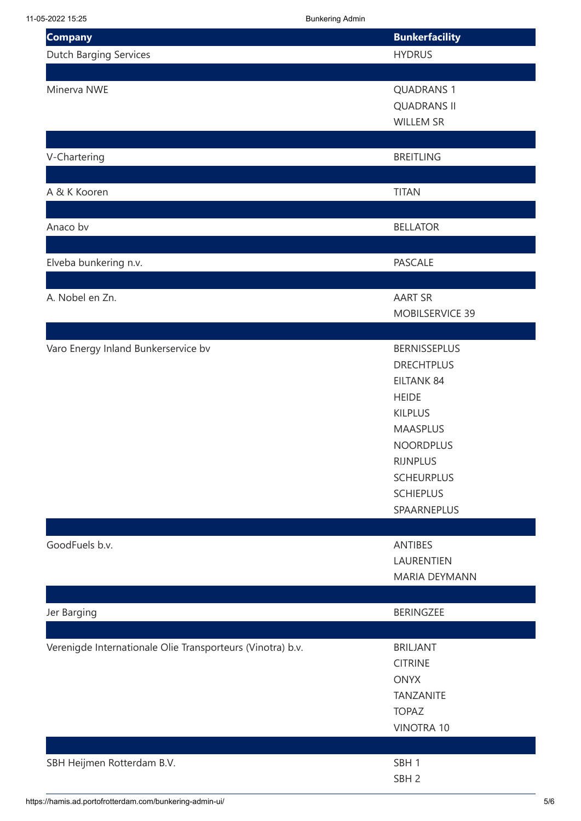| <b>Company</b>                                             | <b>Bunkerfacility</b> |
|------------------------------------------------------------|-----------------------|
| <b>Dutch Barging Services</b>                              | <b>HYDRUS</b>         |
|                                                            |                       |
| Minerva NWE                                                | <b>QUADRANS 1</b>     |
|                                                            | <b>QUADRANS II</b>    |
|                                                            | <b>WILLEM SR</b>      |
|                                                            |                       |
| V-Chartering                                               | <b>BREITLING</b>      |
|                                                            |                       |
| A & K Kooren                                               | <b>TITAN</b>          |
|                                                            |                       |
| Anaco bv                                                   | <b>BELLATOR</b>       |
|                                                            |                       |
| Elveba bunkering n.v.                                      | <b>PASCALE</b>        |
|                                                            |                       |
| A. Nobel en Zn.                                            | <b>AART SR</b>        |
|                                                            | MOBILSERVICE 39       |
|                                                            |                       |
| Varo Energy Inland Bunkerservice bv                        | <b>BERNISSEPLUS</b>   |
|                                                            | <b>DRECHTPLUS</b>     |
|                                                            | <b>EILTANK 84</b>     |
|                                                            | <b>HEIDE</b>          |
|                                                            | <b>KILPLUS</b>        |
|                                                            | <b>MAASPLUS</b>       |
|                                                            | <b>NOORDPLUS</b>      |
|                                                            | <b>RIJNPLUS</b>       |
|                                                            | <b>SCHEURPLUS</b>     |
|                                                            | <b>SCHIEPLUS</b>      |
|                                                            | SPAARNEPLUS           |
|                                                            |                       |
| GoodFuels b.v.                                             | <b>ANTIBES</b>        |
|                                                            | LAURENTIEN            |
|                                                            | <b>MARIA DEYMANN</b>  |
|                                                            |                       |
| Jer Barging                                                | BERINGZEE             |
|                                                            |                       |
| Verenigde Internationale Olie Transporteurs (Vinotra) b.v. | <b>BRILJANT</b>       |
|                                                            | <b>CITRINE</b>        |
|                                                            | <b>ONYX</b>           |
|                                                            | <b>TANZANITE</b>      |
|                                                            | <b>TOPAZ</b>          |
|                                                            | <b>VINOTRA 10</b>     |
|                                                            |                       |
| SBH Heijmen Rotterdam B.V.                                 | SBH <sub>1</sub>      |
|                                                            | SBH <sub>2</sub>      |